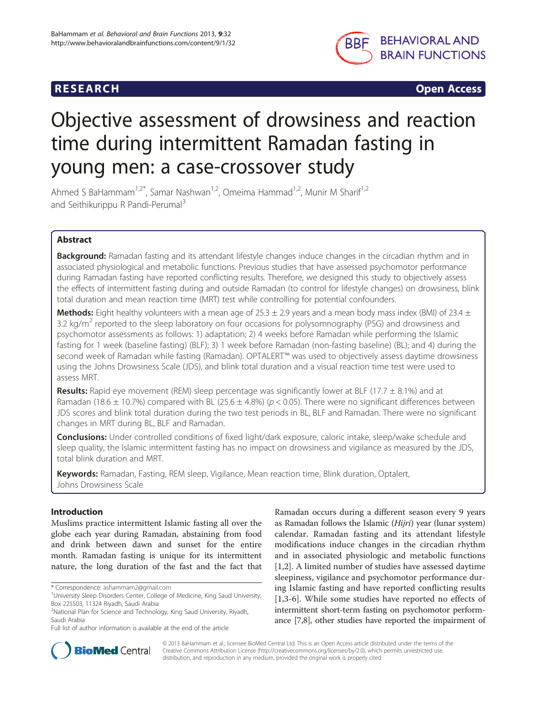## **RESEARCH CHINESE ARCH CHINESE ARCH CHINESE ARCH**



# Objective assessment of drowsiness and reaction time during intermittent Ramadan fasting in young men: a case-crossover study

Ahmed S BaHammam<sup>1,2\*</sup>, Samar Nashwan<sup>1,2</sup>, Omeima Hammad<sup>1,2</sup>, Munir M Sharif<sup>1,2</sup> and Seithikurippu R Pandi-Perumal<sup>3</sup>

## Abstract

Background: Ramadan fasting and its attendant lifestyle changes induce changes in the circadian rhythm and in associated physiological and metabolic functions. Previous studies that have assessed psychomotor performance during Ramadan fasting have reported conflicting results. Therefore, we designed this study to objectively assess the effects of intermittent fasting during and outside Ramadan (to control for lifestyle changes) on drowsiness, blink total duration and mean reaction time (MRT) test while controlling for potential confounders.

**Methods:** Eight healthy volunteers with a mean age of 25.3  $\pm$  2.9 years and a mean body mass index (BMI) of 23.4  $\pm$ 3.2 kg/m<sup>2</sup> reported to the sleep laboratory on four occasions for polysomnography (PSG) and drowsiness and psychomotor assessments as follows: 1) adaptation; 2) 4 weeks before Ramadan while performing the Islamic fasting for 1 week (baseline fasting) (BLF); 3) 1 week before Ramadan (non-fasting baseline) (BL); and 4) during the second week of Ramadan while fasting (Ramadan). OPTALERT™ was used to objectively assess daytime drowsiness using the Johns Drowsiness Scale (JDS), and blink total duration and a visual reaction time test were used to assess MRT.

**Results:** Rapid eye movement (REM) sleep percentage was significantly lower at BLF (17.7  $\pm$  8.1%) and at Ramadan (18.6  $\pm$  10.7%) compared with BL (25.6  $\pm$  4.8%) (p < 0.05). There were no significant differences between JDS scores and blink total duration during the two test periods in BL, BLF and Ramadan. There were no significant changes in MRT during BL, BLF and Ramadan.

**Conclusions:** Under controlled conditions of fixed light/dark exposure, caloric intake, sleep/wake schedule and sleep quality, the Islamic intermittent fasting has no impact on drowsiness and vigilance as measured by the JDS, total blink duration and MRT.

Keywords: Ramadan, Fasting, REM sleep, Vigilance, Mean reaction time, Blink duration, Optalert, Johns Drowsiness Scale

## Introduction

Muslims practice intermittent Islamic fasting all over the globe each year during Ramadan, abstaining from food and drink between dawn and sunset for the entire month. Ramadan fasting is unique for its intermittent nature, the long duration of the fast and the fact that

Ramadan occurs during a different season every 9 years as Ramadan follows the Islamic (Hijri) year (lunar system) calendar. Ramadan fasting and its attendant lifestyle modifications induce changes in the circadian rhythm and in associated physiologic and metabolic functions [[1,2](#page-6-0)]. A limited number of studies have assessed daytime sleepiness, vigilance and psychomotor performance during Islamic fasting and have reported conflicting results [[1,3](#page-6-0)-[6\]](#page-6-0). While some studies have reported no effects of intermittent short-term fasting on psychomotor performance [\[7,8](#page-7-0)], other studies have reported the impairment of



© 2013 BaHammam et al.; licensee BioMed Central Ltd. This is an Open Access article distributed under the terms of the Creative Commons Attribution License (<http://creativecommons.org/licenses/by/2.0>), which permits unrestricted use, distribution, and reproduction in any medium, provided the original work is properly cited.

<sup>\*</sup> Correspondence: [ashammam2@gmail.com](mailto:ashammam2@gmail.com) <sup>1</sup>

<sup>&</sup>lt;sup>1</sup> University Sleep Disorders Center, College of Medicine, King Saud University, Box 225503, 11324 Riyadh, Saudi Arabia

<sup>&</sup>lt;sup>2</sup>National Plan for Science and Technology, King Saud University, Riyadh, Saudi Arabia

Full list of author information is available at the end of the article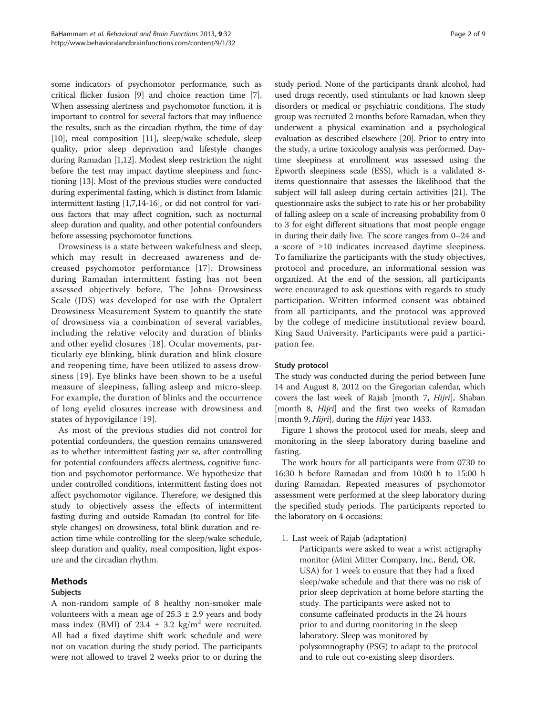some indicators of psychomotor performance, such as critical flicker fusion [\[9\]](#page-7-0) and choice reaction time [[7](#page-7-0)]. When assessing alertness and psychomotor function, it is important to control for several factors that may influence the results, such as the circadian rhythm, the time of day [[10](#page-7-0)], meal composition [\[11\]](#page-7-0), sleep/wake schedule, sleep quality, prior sleep deprivation and lifestyle changes during Ramadan [[1](#page-6-0)[,12\]](#page-7-0). Modest sleep restriction the night before the test may impact daytime sleepiness and functioning [\[13\]](#page-7-0). Most of the previous studies were conducted during experimental fasting, which is distinct from Islamic intermittent fasting [\[1,](#page-6-0)[7,14-16\]](#page-7-0), or did not control for various factors that may affect cognition, such as nocturnal sleep duration and quality, and other potential confounders before assessing psychomotor functions.

Drowsiness is a state between wakefulness and sleep, which may result in decreased awareness and decreased psychomotor performance [[17](#page-7-0)]. Drowsiness during Ramadan intermittent fasting has not been assessed objectively before. The Johns Drowsiness Scale (JDS) was developed for use with the Optalert Drowsiness Measurement System to quantify the state of drowsiness via a combination of several variables, including the relative velocity and duration of blinks and other eyelid closures [\[18\]](#page-7-0). Ocular movements, particularly eye blinking, blink duration and blink closure and reopening time, have been utilized to assess drowsiness [\[19\]](#page-7-0). Eye blinks have been shown to be a useful measure of sleepiness, falling asleep and micro-sleep. For example, the duration of blinks and the occurrence of long eyelid closures increase with drowsiness and states of hypovigilance [\[19\]](#page-7-0).

As most of the previous studies did not control for potential confounders, the question remains unanswered as to whether intermittent fasting per se, after controlling for potential confounders affects alertness, cognitive function and psychomotor performance. We hypothesize that under controlled conditions, intermittent fasting does not affect psychomotor vigilance. Therefore, we designed this study to objectively assess the effects of intermittent fasting during and outside Ramadan (to control for lifestyle changes) on drowsiness, total blink duration and reaction time while controlling for the sleep/wake schedule, sleep duration and quality, meal composition, light exposure and the circadian rhythm.

## Methods

#### Subjects

A non-random sample of 8 healthy non-smoker male volunteers with a mean age of  $25.3 \pm 2.9$  years and body mass index (BMI) of 23.4  $\pm$  3.2 kg/m<sup>2</sup> were recruited. All had a fixed daytime shift work schedule and were not on vacation during the study period. The participants were not allowed to travel 2 weeks prior to or during the study period. None of the participants drank alcohol, had used drugs recently, used stimulants or had known sleep disorders or medical or psychiatric conditions. The study group was recruited 2 months before Ramadan, when they underwent a physical examination and a psychological evaluation as described elsewhere [\[20\]](#page-7-0). Prior to entry into the study, a urine toxicology analysis was performed. Daytime sleepiness at enrollment was assessed using the Epworth sleepiness scale (ESS), which is a validated 8 items questionnaire that assesses the likelihood that the subject will fall asleep during certain activities [[21](#page-7-0)]. The questionnaire asks the subject to rate his or her probability of falling asleep on a scale of increasing probability from 0 to 3 for eight different situations that most people engage in during their daily live. The score ranges from 0–24 and a score of ≥10 indicates increased daytime sleepiness. To familiarize the participants with the study objectives, protocol and procedure, an informational session was organized. At the end of the session, all participants were encouraged to ask questions with regards to study participation. Written informed consent was obtained from all participants, and the protocol was approved by the college of medicine institutional review board, King Saud University. Participants were paid a participation fee.

#### Study protocol

The study was conducted during the period between June 14 and August 8, 2012 on the Gregorian calendar, which covers the last week of Rajab [month 7, Hijri], Shaban [month 8, Hijri] and the first two weeks of Ramadan [month 9, Hijri], during the Hijri year 1433.

Figure [1](#page-2-0) shows the protocol used for meals, sleep and monitoring in the sleep laboratory during baseline and fasting.

The work hours for all participants were from 0730 to 16:30 h before Ramadan and from 10:00 h to 15:00 h during Ramadan. Repeated measures of psychomotor assessment were performed at the sleep laboratory during the specified study periods. The participants reported to the laboratory on 4 occasions:

- 1. Last week of Rajab (adaptation)
	- Participants were asked to wear a wrist actigraphy monitor (Mini Mitter Company, Inc., Bend, OR, USA) for 1 week to ensure that they had a fixed sleep/wake schedule and that there was no risk of prior sleep deprivation at home before starting the study. The participants were asked not to consume caffeinated products in the 24 hours prior to and during monitoring in the sleep laboratory. Sleep was monitored by polysomnography (PSG) to adapt to the protocol and to rule out co-existing sleep disorders.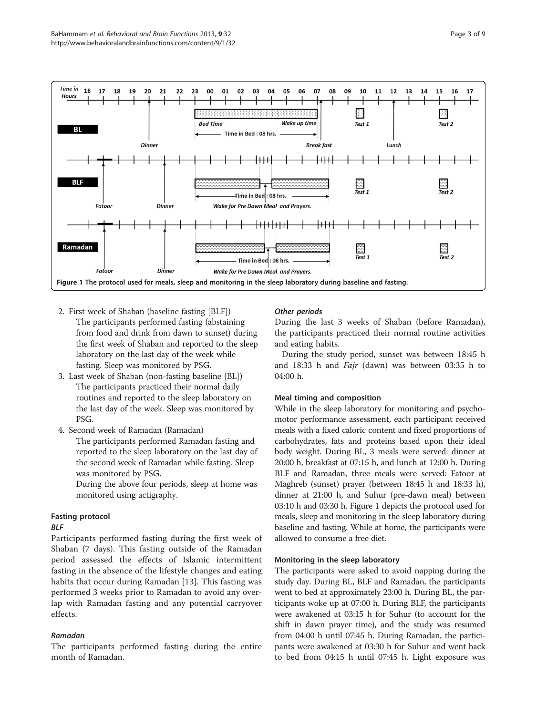<span id="page-2-0"></span>

- 2. First week of Shaban (baseline fasting [BLF])
- The participants performed fasting (abstaining from food and drink from dawn to sunset) during the first week of Shaban and reported to the sleep laboratory on the last day of the week while fasting. Sleep was monitored by PSG.
- 3. Last week of Shaban (non-fasting baseline [BL]) The participants practiced their normal daily routines and reported to the sleep laboratory on the last day of the week. Sleep was monitored by PSG.
- 4. Second week of Ramadan (Ramadan)

The participants performed Ramadan fasting and reported to the sleep laboratory on the last day of the second week of Ramadan while fasting. Sleep was monitored by PSG.

During the above four periods, sleep at home was monitored using actigraphy.

## Fasting protocol

#### BLF

Participants performed fasting during the first week of Shaban (7 days). This fasting outside of the Ramadan period assessed the effects of Islamic intermittent fasting in the absence of the lifestyle changes and eating habits that occur during Ramadan [[13](#page-7-0)]. This fasting was performed 3 weeks prior to Ramadan to avoid any overlap with Ramadan fasting and any potential carryover effects.

## Ramadan

The participants performed fasting during the entire month of Ramadan.

## Other periods

During the last 3 weeks of Shaban (before Ramadan), the participants practiced their normal routine activities and eating habits.

During the study period, sunset was between 18:45 h and 18:33 h and Fajr (dawn) was between 03:35 h to 04:00 h.

#### Meal timing and composition

While in the sleep laboratory for monitoring and psychomotor performance assessment, each participant received meals with a fixed caloric content and fixed proportions of carbohydrates, fats and proteins based upon their ideal body weight. During BL, 3 meals were served: dinner at 20:00 h, breakfast at 07:15 h, and lunch at 12:00 h. During BLF and Ramadan, three meals were served: Fatoor at Maghreb (sunset) prayer (between 18:45 h and 18:33 h), dinner at 21:00 h, and Suhur (pre-dawn meal) between 03:10 h and 03:30 h. Figure 1 depicts the protocol used for meals, sleep and monitoring in the sleep laboratory during baseline and fasting. While at home, the participants were allowed to consume a free diet.

#### Monitoring in the sleep laboratory

The participants were asked to avoid napping during the study day. During BL, BLF and Ramadan, the participants went to bed at approximately 23:00 h. During BL, the participants woke up at 07:00 h. During BLF, the participants were awakened at 03:15 h for Suhur (to account for the shift in dawn prayer time), and the study was resumed from 04:00 h until 07:45 h. During Ramadan, the participants were awakened at 03:30 h for Suhur and went back to bed from 04:15 h until 07:45 h. Light exposure was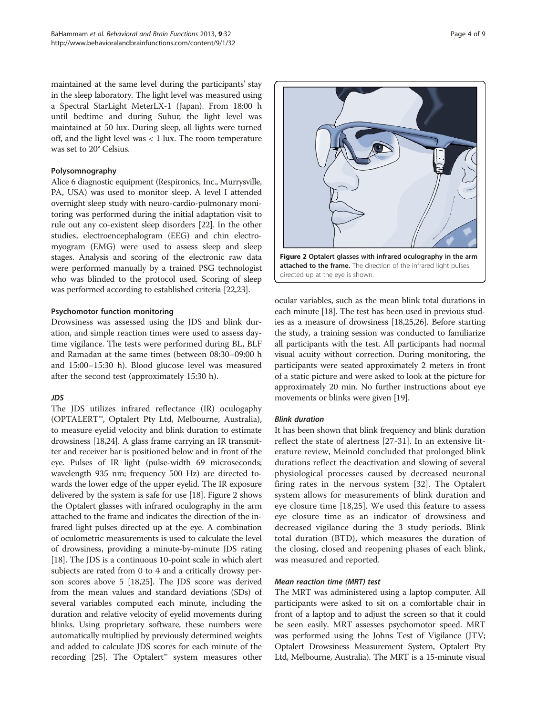maintained at the same level during the participants' stay in the sleep laboratory. The light level was measured using a Spectral StarLight MeterLX-1 (Japan). From 18:00 h until bedtime and during Suhur, the light level was maintained at 50 lux. During sleep, all lights were turned off, and the light level was < 1 lux. The room temperature was set to 20° Celsius.

#### Polysomnography

Alice 6 diagnostic equipment (Respironics, Inc., Murrysville, PA, USA) was used to monitor sleep. A level I attended overnight sleep study with neuro-cardio-pulmonary monitoring was performed during the initial adaptation visit to rule out any co-existent sleep disorders [\[22\]](#page-7-0). In the other studies, electroencephalogram (EEG) and chin electromyogram (EMG) were used to assess sleep and sleep stages. Analysis and scoring of the electronic raw data were performed manually by a trained PSG technologist who was blinded to the protocol used. Scoring of sleep was performed according to established criteria [\[22,23](#page-7-0)].

#### Psychomotor function monitoring

Drowsiness was assessed using the JDS and blink duration, and simple reaction times were used to assess daytime vigilance. The tests were performed during BL, BLF and Ramadan at the same times (between 08:30–09:00 h and 15:00–15:30 h). Blood glucose level was measured after the second test (approximately 15:30 h).

## JDS

The JDS utilizes infrared reflectance (IR) oculogaphy (OPTALERT™, Optalert Pty Ltd, Melbourne, Australia), to measure eyelid velocity and blink duration to estimate drowsiness [\[18,24\]](#page-7-0). A glass frame carrying an IR transmitter and receiver bar is positioned below and in front of the eye. Pulses of IR light (pulse-width 69 microseconds; wavelength 935 nm; frequency 500 Hz) are directed towards the lower edge of the upper eyelid. The IR exposure delivered by the system is safe for use [\[18\]](#page-7-0). Figure 2 shows the Optalert glasses with infrared oculography in the arm attached to the frame and indicates the direction of the infrared light pulses directed up at the eye. A combination of oculometric measurements is used to calculate the level of drowsiness, providing a minute-by-minute JDS rating [[18](#page-7-0)]. The JDS is a continuous 10-point scale in which alert subjects are rated from 0 to 4 and a critically drowsy person scores above 5 [[18](#page-7-0),[25](#page-7-0)]. The JDS score was derived from the mean values and standard deviations (SDs) of several variables computed each minute, including the duration and relative velocity of eyelid movements during blinks. Using proprietary software, these numbers were automatically multiplied by previously determined weights and added to calculate JDS scores for each minute of the recording [\[25](#page-7-0)]. The Optalert™ system measures other



ocular variables, such as the mean blink total durations in each minute [[18](#page-7-0)]. The test has been used in previous studies as a measure of drowsiness [\[18,25,26](#page-7-0)]. Before starting the study, a training session was conducted to familiarize all participants with the test. All participants had normal visual acuity without correction. During monitoring, the participants were seated approximately 2 meters in front of a static picture and were asked to look at the picture for approximately 20 min. No further instructions about eye movements or blinks were given [[19](#page-7-0)].

#### Blink duration

It has been shown that blink frequency and blink duration reflect the state of alertness [\[27](#page-7-0)-[31](#page-7-0)]. In an extensive literature review, Meinold concluded that prolonged blink durations reflect the deactivation and slowing of several physiological processes caused by decreased neuronal firing rates in the nervous system [[32](#page-7-0)]. The Optalert system allows for measurements of blink duration and eye closure time [\[18,25](#page-7-0)]. We used this feature to assess eye closure time as an indicator of drowsiness and decreased vigilance during the 3 study periods. Blink total duration (BTD), which measures the duration of the closing, closed and reopening phases of each blink, was measured and reported.

#### Mean reaction time (MRT) test

The MRT was administered using a laptop computer. All participants were asked to sit on a comfortable chair in front of a laptop and to adjust the screen so that it could be seen easily. MRT assesses psychomotor speed. MRT was performed using the Johns Test of Vigilance (JTV; Optalert Drowsiness Measurement System, Optalert Pty Ltd, Melbourne, Australia). The MRT is a 15-minute visual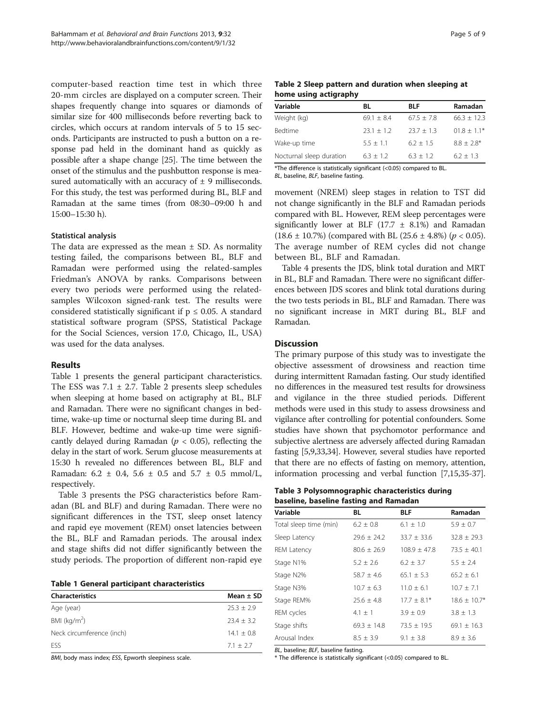computer-based reaction time test in which three 20-mm circles are displayed on a computer screen. Their shapes frequently change into squares or diamonds of similar size for 400 milliseconds before reverting back to circles, which occurs at random intervals of 5 to 15 seconds. Participants are instructed to push a button on a response pad held in the dominant hand as quickly as possible after a shape change [\[25\]](#page-7-0). The time between the onset of the stimulus and the pushbutton response is measured automatically with an accuracy of  $\pm$  9 milliseconds. For this study, the test was performed during BL, BLF and Ramadan at the same times (from 08:30–09:00 h and 15:00–15:30 h).

#### Statistical analysis

The data are expressed as the mean  $\pm$  SD. As normality testing failed, the comparisons between BL, BLF and Ramadan were performed using the related-samples Friedman's ANOVA by ranks. Comparisons between every two periods were performed using the relatedsamples Wilcoxon signed-rank test. The results were considered statistically significant if  $p \le 0.05$ . A standard statistical software program (SPSS, Statistical Package for the Social Sciences, version 17.0, Chicago, IL, USA) was used for the data analyses.

#### Results

Table 1 presents the general participant characteristics. The ESS was  $7.1 \pm 2.7$ . Table 2 presents sleep schedules when sleeping at home based on actigraphy at BL, BLF and Ramadan. There were no significant changes in bedtime, wake-up time or nocturnal sleep time during BL and BLF. However, bedtime and wake-up time were significantly delayed during Ramadan ( $p < 0.05$ ), reflecting the delay in the start of work. Serum glucose measurements at 15:30 h revealed no differences between BL, BLF and Ramadan:  $6.2 \pm 0.4$ ,  $5.6 \pm 0.5$  and  $5.7 \pm 0.5$  mmol/L, respectively.

Table 3 presents the PSG characteristics before Ramadan (BL and BLF) and during Ramadan. There were no significant differences in the TST, sleep onset latency and rapid eye movement (REM) onset latencies between the BL, BLF and Ramadan periods. The arousal index and stage shifts did not differ significantly between the study periods. The proportion of different non-rapid eye

Table 1 General participant characteristics

| <b>Characteristics</b>    | Mean $\pm$ SD |
|---------------------------|---------------|
| Age (year)                | $25.3 + 2.9$  |
| BMI ( $kg/m2$ )           | $23.4 + 3.2$  |
| Neck circumference (inch) | $14.1 + 0.8$  |
| <b>FSS</b>                | $71 + 27$     |

BMI, body mass index; ESS, Epworth sleepiness scale.

| Table 2 Sleep pattern and duration when sleeping at |  |  |  |
|-----------------------------------------------------|--|--|--|
| home using actigraphy                               |  |  |  |

| Variable                 | BL           | <b>BLF</b>   | Ramadan       |
|--------------------------|--------------|--------------|---------------|
| Weight (kg)              | $69.1 + 8.4$ | $67.5 + 7.8$ | $66.3 + 12.3$ |
| Bedtime                  | $23.1 + 1.2$ | $23.7 + 1.3$ | $01.8 + 1.1*$ |
| Wake-up time             | $5.5 + 1.1$  | $6.2 + 1.5$  | $8.8 + 2.8*$  |
| Nocturnal sleep duration | $6.3 + 1.2$  | $6.3 + 1.2$  | $6.2 + 1.3$   |
|                          |              |              |               |

\*The difference is statistically significant (<0.05) compared to BL. BL, baseline, BLF, baseline fasting.

movement (NREM) sleep stages in relation to TST did not change significantly in the BLF and Ramadan periods compared with BL. However, REM sleep percentages were significantly lower at BLF (17.7  $\pm$  8.1%) and Ramadan  $(18.6 \pm 10.7\%)$  (compared with BL  $(25.6 \pm 4.8\%)$  ( $p < 0.05$ ). The average number of REM cycles did not change between BL, BLF and Ramadan.

Table [4](#page-5-0) presents the JDS, blink total duration and MRT in BL, BLF and Ramadan. There were no significant differences between JDS scores and blink total durations during the two tests periods in BL, BLF and Ramadan. There was no significant increase in MRT during BL, BLF and Ramadan.

#### **Discussion**

The primary purpose of this study was to investigate the objective assessment of drowsiness and reaction time during intermittent Ramadan fasting. Our study identified no differences in the measured test results for drowsiness and vigilance in the three studied periods. Different methods were used in this study to assess drowsiness and vigilance after controlling for potential confounders. Some studies have shown that psychomotor performance and subjective alertness are adversely affected during Ramadan fasting [\[5](#page-6-0)[,9,33,34](#page-7-0)]. However, several studies have reported that there are no effects of fasting on memory, attention, information processing and verbal function [\[7,15,35](#page-7-0)-[37](#page-7-0)].

| Table 3 Polysomnographic characteristics during |  |
|-------------------------------------------------|--|
| baseline, baseline fasting and Ramadan          |  |

| Variable               | BL              | <b>BLF</b>       | Ramadan          |
|------------------------|-----------------|------------------|------------------|
| Total sleep time (min) | $6.2 \pm 0.8$   | $6.1 \pm 1.0$    | $5.9 \pm 0.7$    |
| Sleep Latency          | $29.6 \pm 24.2$ | $33.7 \pm 33.6$  | $32.8 \pm 29.3$  |
| <b>REM Latency</b>     | $80.6 \pm 26.9$ | $108.9 \pm 47.8$ | $73.5 \pm 40.1$  |
| Stage N1%              | $5.2 \pm 2.6$   | $6.2 \pm 3.7$    | $5.5 \pm 2.4$    |
| Stage N2%              | $58.7 \pm 4.6$  | $65.1 \pm 5.3$   | $65.2 \pm 6.1$   |
| Stage N3%              | $10.7 \pm 6.3$  | $11.0 \pm 6.1$   | $10.7 \pm 7.1$   |
| Stage REM%             | $25.6 \pm 4.8$  | $17.7 \pm 8.1*$  | $18.6 \pm 10.7*$ |
| REM cycles             | $4.1 \pm 1$     | $3.9 \pm 0.9$    | $3.8 \pm 1.3$    |
| Stage shifts           | $69.3 \pm 14.8$ | $73.5 \pm 19.5$  | $69.1 \pm 16.3$  |
| Arousal Index          | $8.5 \pm 3.9$   | $9.1 \pm 3.8$    | $8.9 \pm 3.6$    |

BL, baseline; BLF, baseline fasting.

\* The difference is statistically significant (<0.05) compared to BL.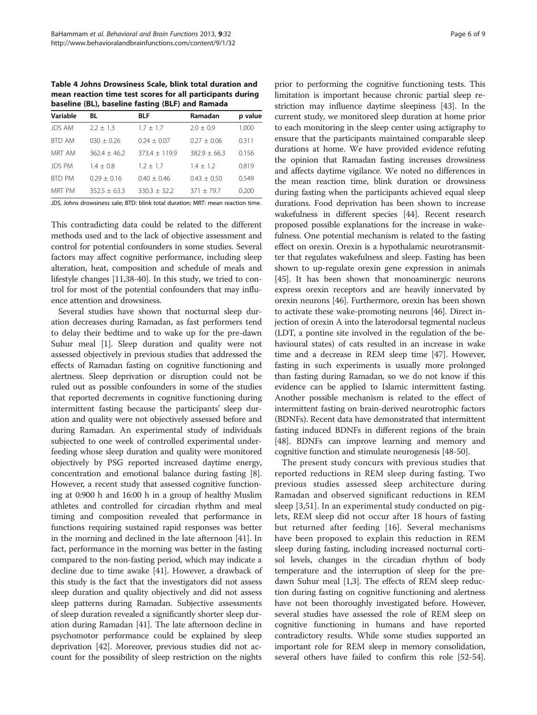<span id="page-5-0"></span>Table 4 Johns Drowsiness Scale, blink total duration and mean reaction time test scores for all participants during baseline (BL), baseline fasting (BLF) and Ramada

| Variable      | BL              | <b>BLF</b>        | Ramadan          | p value |  |
|---------------|-----------------|-------------------|------------------|---------|--|
| <b>JDS AM</b> | $2.2 \pm 1.3$   | $1.7 + 1.7$       | $2.0 + 0.9$      | 1.000   |  |
| BTD AM        | $030 + 0.26$    | $0.24 + 0.07$     | $0.27 + 0.06$    | 0.311   |  |
| MRT AM        | $362.4 + 46.2$  | $373.4 \pm 119.9$ | $382.9 \pm 66.3$ | 0.156   |  |
| <b>JDS PM</b> | $1.4 + 0.8$     | $1.2 + 1.7$       | $1.4 + 1.2$      | 0.819   |  |
| <b>BTD PM</b> | $0.29 \pm 0.16$ | $0.40 + 0.46$     | $0.43 + 0.50$    | 0.549   |  |
| MRT PM        | $352.5 + 63.3$  | $330.3 \pm 32.2$  | $371 + 79.7$     | 0.200   |  |

JDS, Johns drowsiness sale; BTD: blink total duration; MRT: mean reaction time.

This contradicting data could be related to the different methods used and to the lack of objective assessment and control for potential confounders in some studies. Several factors may affect cognitive performance, including sleep alteration, heat, composition and schedule of meals and lifestyle changes [\[11,38-40\]](#page-7-0). In this study, we tried to control for most of the potential confounders that may influence attention and drowsiness.

Several studies have shown that nocturnal sleep duration decreases during Ramadan, as fast performers tend to delay their bedtime and to wake up for the pre-dawn Suhur meal [\[1](#page-6-0)]. Sleep duration and quality were not assessed objectively in previous studies that addressed the effects of Ramadan fasting on cognitive functioning and alertness. Sleep deprivation or disruption could not be ruled out as possible confounders in some of the studies that reported decrements in cognitive functioning during intermittent fasting because the participants' sleep duration and quality were not objectively assessed before and during Ramadan. An experimental study of individuals subjected to one week of controlled experimental underfeeding whose sleep duration and quality were monitored objectively by PSG reported increased daytime energy, concentration and emotional balance during fasting [[8](#page-7-0)]. However, a recent study that assessed cognitive functioning at 0:900 h and 16:00 h in a group of healthy Muslim athletes and controlled for circadian rhythm and meal timing and composition revealed that performance in functions requiring sustained rapid responses was better in the morning and declined in the late afternoon [\[41\]](#page-7-0). In fact, performance in the morning was better in the fasting compared to the non-fasting period, which may indicate a decline due to time awake [[41](#page-7-0)]. However, a drawback of this study is the fact that the investigators did not assess sleep duration and quality objectively and did not assess sleep patterns during Ramadan. Subjective assessments of sleep duration revealed a significantly shorter sleep duration during Ramadan [[41\]](#page-7-0). The late afternoon decline in psychomotor performance could be explained by sleep deprivation [\[42\]](#page-7-0). Moreover, previous studies did not account for the possibility of sleep restriction on the nights

prior to performing the cognitive functioning tests. This limitation is important because chronic partial sleep restriction may influence daytime sleepiness [[43](#page-7-0)]. In the current study, we monitored sleep duration at home prior to each monitoring in the sleep center using actigraphy to ensure that the participants maintained comparable sleep durations at home. We have provided evidence refuting the opinion that Ramadan fasting increases drowsiness and affects daytime vigilance. We noted no differences in the mean reaction time, blink duration or drowsiness during fasting when the participants achieved equal sleep durations. Food deprivation has been shown to increase wakefulness in different species [\[44](#page-7-0)]. Recent research proposed possible explanations for the increase in wakefulness. One potential mechanism is related to the fasting effect on orexin. Orexin is a hypothalamic neurotransmitter that regulates wakefulness and sleep. Fasting has been shown to up-regulate orexin gene expression in animals [[45](#page-7-0)]. It has been shown that monoaminergic neurons express orexin receptors and are heavily innervated by orexin neurons [[46](#page-7-0)]. Furthermore, orexin has been shown to activate these wake-promoting neurons [\[46\]](#page-7-0). Direct injection of orexin A into the laterodorsal tegmental nucleus (LDT, a pontine site involved in the regulation of the behavioural states) of cats resulted in an increase in wake time and a decrease in REM sleep time [[47](#page-7-0)]. However, fasting in such experiments is usually more prolonged than fasting during Ramadan, so we do not know if this evidence can be applied to Islamic intermittent fasting. Another possible mechanism is related to the effect of intermittent fasting on brain-derived neurotrophic factors (BDNFs). Recent data have demonstrated that intermittent fasting induced BDNFs in different regions of the brain [[48](#page-7-0)]. BDNFs can improve learning and memory and cognitive function and stimulate neurogenesis [[48](#page-7-0)-[50](#page-7-0)].

The present study concurs with previous studies that reported reductions in REM sleep during fasting. Two previous studies assessed sleep architecture during Ramadan and observed significant reductions in REM sleep [\[3](#page-6-0),[51\]](#page-7-0). In an experimental study conducted on piglets, REM sleep did not occur after 18 hours of fasting but returned after feeding [\[16](#page-7-0)]. Several mechanisms have been proposed to explain this reduction in REM sleep during fasting, including increased nocturnal cortisol levels, changes in the circadian rhythm of body temperature and the interruption of sleep for the predawn Suhur meal [[1,3](#page-6-0)]. The effects of REM sleep reduction during fasting on cognitive functioning and alertness have not been thoroughly investigated before. However, several studies have assessed the role of REM sleep on cognitive functioning in humans and have reported contradictory results. While some studies supported an important role for REM sleep in memory consolidation, several others have failed to confirm this role [[52](#page-7-0)-[54](#page-7-0)].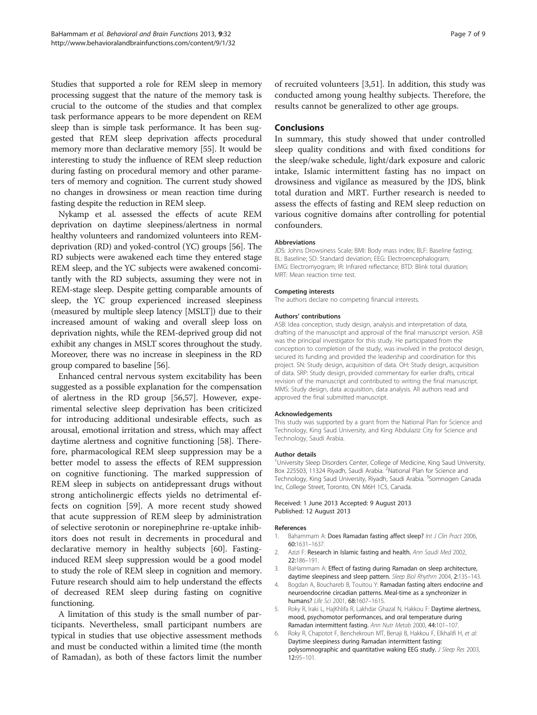<span id="page-6-0"></span>Studies that supported a role for REM sleep in memory processing suggest that the nature of the memory task is crucial to the outcome of the studies and that complex task performance appears to be more dependent on REM sleep than is simple task performance. It has been suggested that REM sleep deprivation affects procedural memory more than declarative memory [\[55\]](#page-7-0). It would be interesting to study the influence of REM sleep reduction during fasting on procedural memory and other parameters of memory and cognition. The current study showed no changes in drowsiness or mean reaction time during fasting despite the reduction in REM sleep.

Nykamp et al. assessed the effects of acute REM deprivation on daytime sleepiness/alertness in normal healthy volunteers and randomized volunteers into REMdeprivation (RD) and yoked-control (YC) groups [\[56\]](#page-7-0). The RD subjects were awakened each time they entered stage REM sleep, and the YC subjects were awakened concomitantly with the RD subjects, assuming they were not in REM-stage sleep. Despite getting comparable amounts of sleep, the YC group experienced increased sleepiness (measured by multiple sleep latency [MSLT]) due to their increased amount of waking and overall sleep loss on deprivation nights, while the REM-deprived group did not exhibit any changes in MSLT scores throughout the study. Moreover, there was no increase in sleepiness in the RD group compared to baseline [[56](#page-7-0)].

Enhanced central nervous system excitability has been suggested as a possible explanation for the compensation of alertness in the RD group [[56](#page-7-0),[57](#page-7-0)]. However, experimental selective sleep deprivation has been criticized for introducing additional undesirable effects, such as arousal, emotional irritation and stress, which may affect daytime alertness and cognitive functioning [\[58\]](#page-7-0). Therefore, pharmacological REM sleep suppression may be a better model to assess the effects of REM suppression on cognitive functioning. The marked suppression of REM sleep in subjects on antidepressant drugs without strong anticholinergic effects yields no detrimental effects on cognition [\[59\]](#page-8-0). A more recent study showed that acute suppression of REM sleep by administration of selective serotonin or norepinephrine re-uptake inhibitors does not result in decrements in procedural and declarative memory in healthy subjects [[60\]](#page-8-0). Fastinginduced REM sleep suppression would be a good model to study the role of REM sleep in cognition and memory. Future research should aim to help understand the effects of decreased REM sleep during fasting on cognitive functioning.

A limitation of this study is the small number of participants. Nevertheless, small participant numbers are typical in studies that use objective assessment methods and must be conducted within a limited time (the month of Ramadan), as both of these factors limit the number of recruited volunteers [3,[51](#page-7-0)]. In addition, this study was conducted among young healthy subjects. Therefore, the results cannot be generalized to other age groups.

#### Conclusions

In summary, this study showed that under controlled sleep quality conditions and with fixed conditions for the sleep/wake schedule, light/dark exposure and caloric intake, Islamic intermittent fasting has no impact on drowsiness and vigilance as measured by the JDS, blink total duration and MRT. Further research is needed to assess the effects of fasting and REM sleep reduction on various cognitive domains after controlling for potential confounders.

#### Abbreviations

JDS: Johns Drowsiness Scale; BMI: Body mass index; BLF: Baseline fasting; BL: Baseline; SD: Standard deviation; EEG: Electroencephalogram; EMG: Electromyogram; IR: Infrared reflectance; BTD: Blink total duration; MRT: Mean reaction time test.

#### Competing interests

The authors declare no competing financial interests.

#### Authors' contributions

ASB: Idea conception, study design, analysis and interpretation of data, drafting of the manuscript and approval of the final manuscript version. ASB was the principal investigator for this study. He participated from the conception to completion of the study, was involved in the protocol design, secured its funding and provided the leadership and coordination for this project. SN: Study design, acquisition of data. OH: Study design, acquisition of data. SRP: Study design, provided commentary for earlier drafts, critical revision of the manuscript and contributed to writing the final manuscript. MMS: Study design, data acquisition, data analysis. All authors read and approved the final submitted manuscript.

#### Acknowledgements

This study was supported by a grant from the National Plan for Science and Technology, King Saud University, and King Abdulaziz City for Science and Technology, Saudi Arabia.

#### Author details

<sup>1</sup>University Sleep Disorders Center, College of Medicine, King Saud University,<br>Box 225503, 11324 Riyadh, Saudi Arabia. <sup>2</sup>National Plan for Science and Technology, King Saud University, Riyadh, Saudi Arabia. <sup>3</sup>Somnogen Canada Inc, College Street, Toronto, ON M6H 1C5, Canada.

#### Received: 1 June 2013 Accepted: 9 August 2013 Published: 12 August 2013

#### References

- 1. Bahammam A: Does Ramadan fasting affect sleep? Int J Clin Pract 2006, 60:1631–1637.
- 2. Azizi F: Research in Islamic fasting and health. Ann Saudi Med 2002, 22:186–191.
- 3. BaHammam A: Effect of fasting during Ramadan on sleep architecture, daytime sleepiness and sleep pattern. Sleep Biol Rhythm 2004, 2:135-143.
- 4. Bogdan A, Bouchareb B, Touitou Y: Ramadan fasting alters endocrine and neuroendocrine circadian patterns. Meal-time as a synchronizer in humans? Life Sci 2001, 68:1607–1615.
- Roky R, Iraki L, HajKhlifa R, Lakhdar Ghazal N, Hakkou F: Daytime alertness, mood, psychomotor performances, and oral temperature during Ramadan intermittent fasting. Ann Nutr Metab 2000, 44:101–107.
- 6. Roky R, Chapotot F, Benchekroun MT, Benaji B, Hakkou F, Elkhalifi H, et al: Daytime sleepiness during Ramadan intermittent fasting: polysomnographic and quantitative waking EEG study. J Sleep Res 2003, 12:95–101.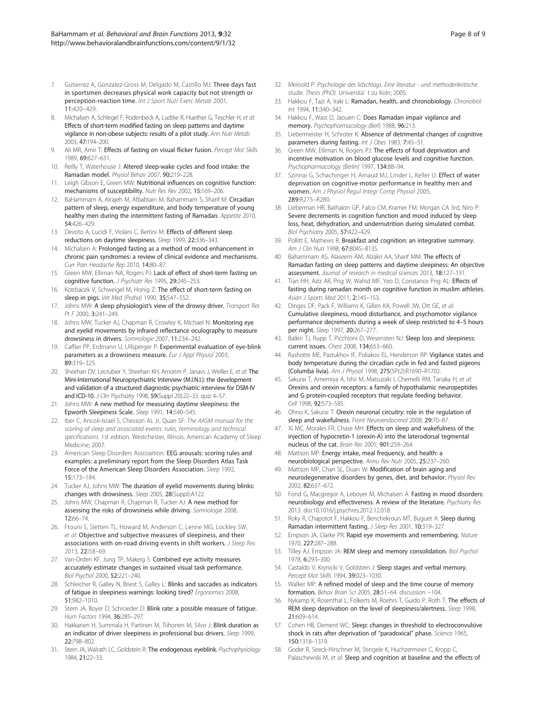- <span id="page-7-0"></span>7. Gutierrez A, Gonzalez-Gross M, Delgado M, Castillo MJ: Three days fast in sportsmen decreases physical work capacity but not strength or perception-reaction time. Int J Sport Nutr Exerc Metab 2001, 11:420–429.
- 8. Michalsen A, Schlegel F, Rodenbeck A, Ludtke R, Huether G, Teschler H, et al: Effects of short-term modified fasting on sleep patterns and daytime vigilance in non-obese subjects: results of a pilot study. Ann Nutr Metab 2003, 47:194–200.
- Ali MR, Amir T: Effects of fasting on visual flicker fusion. Percept Mot Skills 1989, 69:627–631.
- 10. Reilly T, Waterhouse J: Altered sleep-wake cycles and food intake: the Ramadan model. Physiol Behav 2007, 90:219–228.
- 11. Leigh Gibson E, Green MW: Nutritional influences on cognitive function: mechanisms of susceptibility. Nutr Res Rev 2002, 15:169–206.
- 12. BaHammam A, Alrajeh M, Albabtain M, Bahammam S, Sharif M: Circadian pattern of sleep, energy expenditure, and body temperature of young healthy men during the intermittent fasting of Ramadan. Appetite 2010, 54:426–429.
- 13. Devoto A, Lucidi F, Violani C, Bertini M: Effects of different sleep reductions on daytime sleepiness. Sleep 1999, 22:336–343.
- 14. Michalsen A: Prolonged fasting as a method of mood enhancement in chronic pain syndromes: a review of clinical evidence and mechanisms. Curr Pain Headache Rep 2010, 14:80–87.
- 15. Green MW, Elliman NA, Rogers PJ: Lack of effect of short-term fasting on cognitive function. J Psychiatr Res 1995, 29:245–253.
- 16. Kotrbacek V, Schweigel M, Honig Z: The effect of short-term fasting on sleep in pigs. Vet Med (Praha) 1990, 35:547–552.
- 17. Johns MW: A sleep physiologist's view of the drowsy driver. Transport Res Pt F 2000, 3:241-249.
- 18. Johns MW, Tucker AJ, Chapman R, Crowley K, Michael N: Monitoring eye and eyelid movements by infrared reflectance oculography to measure drowsiness in drivers. Somnologie 2007, 11:234–242.
- 19. Caffier PP, Erdmann U, Ullsperger P: Experimental evaluation of eye-blink parameters as a drowsiness measure. Eur J Appl Physiol 2003, 89:319–325.
- 20. Sheehan DV, Lecrubier Y, Sheehan KH, Amorim P, Janavs J, Weiller E, et al: The Mini-International Neuropsychiatric Interview (M.I.N.I.): the development and validation of a structured diagnostic psychiatric interview for DSM-IV and ICD-10. J Clin Psychiatry 1998, 59(Suppl 20):22–33. quiz 4–57.
- 21. Johns MW: A new method for measuring daytime sleepiness: the Epworth Sleepiness Scale. Sleep 1991, 14:540–545.
- 22. Iber C, Ancoli-Israel S, Chesson AL Jr, Quan SF: The AASM manual for the scoring of sleep and associated events: rules, terminology and technical specifications. 1st edition. Westchester, Illinois: American Academy of Sleep Medicine; 2007.
- 23. American Sleep Disorders Asscoaition: EEG arousals: scoring rules and examples: a preliminary report from the Sleep Disorders Atlas Task Force of the American Sleep Disorders Association. Sleep 1992, 15:173–184.
- 24. Tucker AJ, Johns MW: The duration of eyelid movements during blinks: changes with drowsiness. Sleep 2005, 28(Suppl):A122.
- 25. Johns MW, Chapman R, Chapman R, Tucker AJ: A new method for assessing the risks of drowsiness while driving. Somnologie 2008, 12:66–74.
- 26. Ftouni S, Sletten TL, Howard M, Anderson C, Lenne MG, Lockley SW, et al: Objective and subjective measures of sleepiness, and their associations with on-road driving events in shift workers. J Sleep Res 2013, 22:58–69.
- 27. Van-Orden KF, Jung TP, Makeig S: Combined eye activity measures accurately estimate changes in sustained visual task performance. Biol Psychol 2000, 52:221–240.
- 28. Schleicher R, Galley N, Briest S, Galley L: Blinks and saccades as indicators of fatigue in sleepiness warnings: looking tired? Ergonomics 2008, 51:982–1010.
- 29. Stern JA, Boyer D, Schroeder D: Blink rate: a possible measure of fatigue. Hum Factors 1994, 36:285–297.
- 30. Hakkanen H, Summala H, Partinen M, Tiihonen M, Silvo J: Blink duration as an indicator of driver sleepiness in professional bus drivers. Sleep 1999, 22:798–802.
- 31. Stern JA, Walrath LC, Goldstein R: The endogenous eyeblink. Psychophysiology 1984, 21:22–33.
- 32. Meinold P: Psychologie des lidschlags. Eine literatur und methodenkritische studie. Thesis (PhD). Universita¨ t zu Koln; 2005.
- 33. Hakkou F, Tazi A, Iraki L: Ramadan, health, and chronobiology. Chronobiol Int 1994, 11:340–342.
- 34. Hakkou F, Wast D, Jaouen C: Does Ramadan impair vigilance and memory. Psychopharmacology (Berl) 1988, 96:213.
- 35. Liebermeister H, Schroter K: Absence of detrimental changes of cognitive parameters during fasting. Int J Obes 1983, 7:45-51.
- 36. Green MW, Elliman N, Rogers PJ: The effects of food deprivation and incentive motivation on blood glucose levels and cognitive function. Psychopharmacology (Berlin) 1997, 134:88–94.
- 37. Szinnai G, Schachinger H, Arnaud MJ, Linder L, Keller U: Effect of water deprivation on cognitive-motor performance in healthy men and women. Am J Physiol Regul Integr Comp Physiol 2005, 289:R275–R280.
- 38. Lieberman HR, Bathalon GP, Falco CM, Kramer FM, Morgan CA 3rd, Niro P: Severe decrements in cognition function and mood induced by sleep loss, heat, dehydration, and undernutrition during simulated combat. Biol Psychiatry 2005, 57:422–429.
- 39. Pollitt E, Mathews R: Breakfast and cognition: an integrative summary. Am J Clin Nutr 1998, 67:804S–813S.
- 40. Bahammam AS, Alaseem AM, Alzakri AA, Sharif MM: The effects of Ramadan fasting on sleep patterns and daytime sleepiness: An objective assessment. Journal of research in medical sciences 2013, 18:127–131.
- 41. Tian HH, Aziz AR, Png W, Wahid MF, Yeo D, Constance Png AL: Effects of fasting during ramadan month on cognitive function in muslim athletes. Asian J Sports Med 2011, 2:145–153.
- 42. Dinges DF, Pack F, Williams K, Gillen KA, Powell JW, Ott GE, et al: Cumulative sleepiness, mood disturbance, and psychomotor vigilance performance decrements during a week of sleep restricted to 4–5 hours per night. Sleep 1997, 20:267–277.
- 43. Balkin TJ, Rupp T, Picchioni D, Wesensten NJ: Sleep loss and sleepiness: current issues. Chest 2008, 134:653–660.
- 44. Rashotte ME, Pastukhov IF, Poliakov EL, Henderson RP: Vigilance states and body temperature during the circadian cycle in fed and fasted pigeons (Columba livia). Am J Physiol 1998, 275(5Pt2):R1690–R1702.
- 45. Sakurai T, Amemiya A, Ishii M, Matsuzaki I, Chemelli RM, Tanaka H, et al: Orexins and orexin receptors: a family of hypothalamic neuropeptides and G protein-coupled receptors that regulate feeding behavior. Cell 1998, 92:573–585.
- 46. Ohno K, Sakurai T: Orexin neuronal circuitry: role in the regulation of sleep and wakefulness. Front Neuroendocrinol 2008, 29:70–87.
- 47. Xi MC, Morales FR, Chase MH: Effects on sleep and wakefulness of the injection of hypocretin-1 (orexin-A) into the laterodorsal tegmental nucleus of the cat. Brain Res 2001, 901:259–264.
- Mattson MP: Energy intake, meal frequency, and health: a neurobiological perspective. Annu Rev Nutr 2005, 25:237–260.
- 49. Mattson MP, Chan SL, Duan W: Modification of brain aging and neurodegenerative disorders by genes, diet, and behavior. Physiol Rev 2002, 82:637–672.
- 50. Fond G, Macgregor A, Leboyer M, Michalsen A: Fasting in mood disorders: neurobiology and effectiveness. A review of the literature. Psychiatry Res 2013. doi[:10.1016/j.psychres.2012.12.018.](http://dx.doi.org/10.1016/j.psychres.2012.12.018)
- 51. Roky R, Chapotot F, Hakkou F, Benchekroun MT, Buguet A: Sleep during Ramadan intermittent fasting. J Sleep Res 2001, 10:319–327.
- 52. Empson JA, Clarke PR: Rapid eye movements and remembering. Nature 1970, 227:287–288.
- 53. Tilley AJ, Empson JA: REM sleep and memory consolidation. Biol Psychol 1978, 6:293–300.
- 54. Castaldo V, Krynicki V, Goldstein J: Sleep stages and verbal memory. Percept Mot Skills 1994, 39:023–1030.
- 55. Walker MP: A refined model of sleep and the time course of memory formation. Behav Brain Sci 2005, 28:51–64. discussion −104.
- 56. Nykamp K, Rosenthal L, Folkerts M, Roehrs T, Guido P, Roth T: The effects of REM sleep deprivation on the level of sleepiness/alertness. Sleep 1998, 21:609–614.
- 57. Cohen HB, Dement WC: Sleep: changes in threshold to electroconvulsive shock in rats after deprivation of "paradoxical" phase. Science 1965, 150:1318–1319.
- 58. Goder R, Seeck-Hirschner M, Stingele K, Huchzermeier C, Kropp C, Palaschewski M, et al: Sleep and cognition at baseline and the effects of